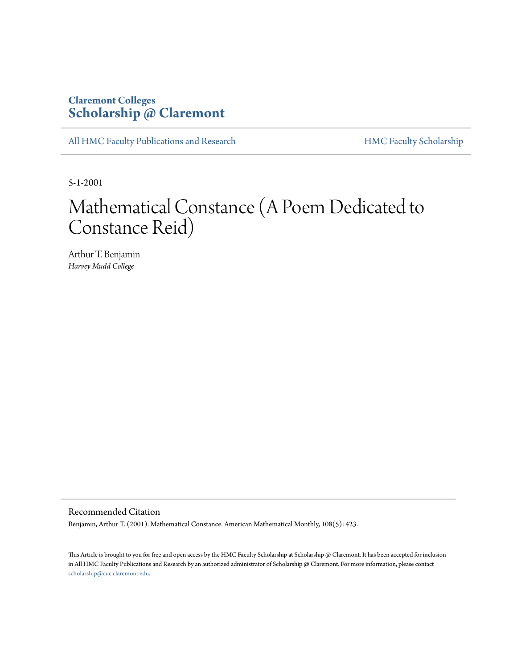## **Claremont Colleges [Scholarship @ Claremont](http://scholarship.claremont.edu)**

[All HMC Faculty Publications and Research](http://scholarship.claremont.edu/hmc_fac_pub) [HMC Faculty Scholarship](http://scholarship.claremont.edu/hmc_faculty)

5-1-2001

## Mathematical Constance (A Poem Dedicated to Constance Reid)

Arthur T. Benjamin *Harvey Mudd College*

Recommended Citation

Benjamin, Arthur T. (2001). Mathematical Constance. American Mathematical Monthly, 108(5): 423.

This Article is brought to you for free and open access by the HMC Faculty Scholarship at Scholarship @ Claremont. It has been accepted for inclusion in All HMC Faculty Publications and Research by an authorized administrator of Scholarship @ Claremont. For more information, please contact [scholarship@cuc.claremont.edu.](mailto:scholarship@cuc.claremont.edu)